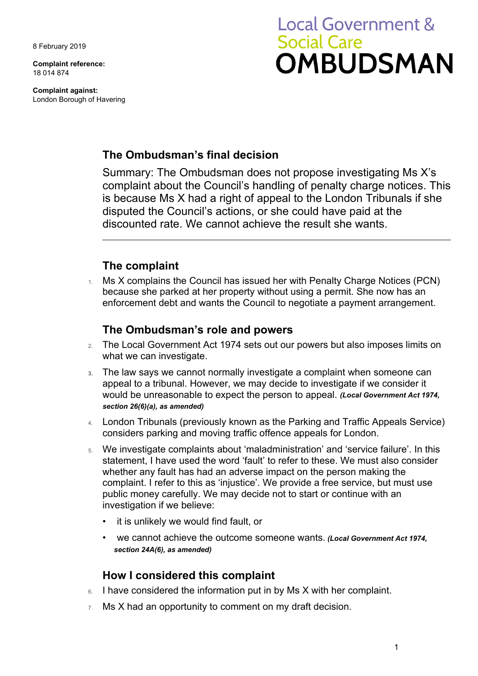8 February 2019

**Complaint reference:**  18 014 874

**Complaint against:**  London Borough of Havering

# **Local Government & Social Care** OMBUDSMAN

## **The Ombudsman's final decision**

 discounted rate. We cannot achieve the result she wants. Summary: The Ombudsman does not propose investigating Ms X's complaint about the Council's handling of penalty charge notices. This is because Ms X had a right of appeal to the London Tribunals if she disputed the Council's actions, or she could have paid at the

# **The complaint**

1. Ms X complains the Council has issued her with Penalty Charge Notices (PCN) because she parked at her property without using a permit. She now has an enforcement debt and wants the Council to negotiate a payment arrangement.

### **The Ombudsman's role and powers**

- 2. The Local Government Act 1974 sets out our powers but also imposes limits on what we can investigate.
- **3.** The law says we cannot normally investigate a complaint when someone can appeal to a tribunal. However, we may decide to investigate if we consider it would be unreasonable to expect the person to appeal. *(Local Government Act 1974, section 26(6)(a), as amended)*
- 4. London Tribunals (previously known as the Parking and Traffic Appeals Service) considers parking and moving traffic offence appeals for London.
- 5. We investigate complaints about 'maladministration' and 'service failure'. In this statement, I have used the word 'fault' to refer to these. We must also consider whether any fault has had an adverse impact on the person making the complaint. I refer to this as 'injustice'. We provide a free service, but must use public money carefully. We may decide not to start or continue with an investigation if we believe:
	- it is unlikely we would find fault, or
	- we cannot achieve the outcome someone wants. *(Local Government Act 1974, section 24A(6), as amended)*

# **How I considered this complaint**

- 6. I have considered the information put in by Ms X with her complaint.
- $7.$  Ms X had an opportunity to comment on my draft decision.